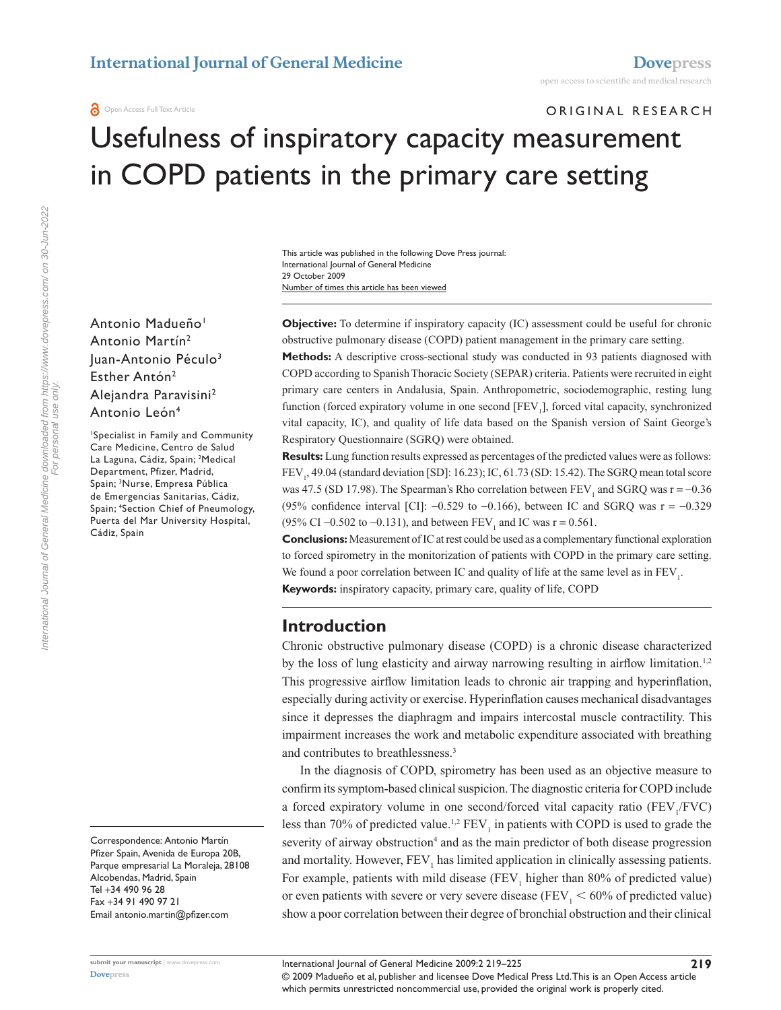ORIGINAL RESEARCH

# Usefulness of inspiratory capacity measurement in COPD patients in the primary care setting

Number of times this article has been viewed This article was published in the following Dove Press journal: International Journal of General Medicine 29 October 2009

Antonio Madueño<sup>1</sup> Antonio Martín2 Juan-Antonio Péculo3 Esther Antón<sup>2</sup> Alejandra Paravisini2 Antonio León4

1 Specialist in Family and Community Care Medicine, Centro de Salud La Laguna, Cádiz, Spain; <sup>2</sup>Medical Department, Pfizer, Madrid, Spain; 3 Nurse, Empresa Pública de Emergencias Sanitarias, Cádiz, Spain; 4 Section Chief of Pneumology, Puerta del Mar University Hospital, Cádiz, Spain

Correspondence: Antonio Martín Pfizer Spain, Avenida de Europa 20B, Parque empresarial La Moraleja, 28108 Alcobendas, Madrid, Spain Tel +34 490 96 28 Fax +34 91 490 97 21 Email antonio.martin@pfizer.com

**Objective:** To determine if inspiratory capacity (IC) assessment could be useful for chronic obstructive pulmonary disease (COPD) patient management in the primary care setting.

**Methods:** A descriptive cross-sectional study was conducted in 93 patients diagnosed with COPD according to Spanish Thoracic Society (SEPAR) criteria. Patients were recruited in eight primary care centers in Andalusia, Spain. Anthropometric, sociodemographic, resting lung function (forced expiratory volume in one second [FEV<sub>1</sub>], forced vital capacity, synchronized vital capacity, IC), and quality of life data based on the Spanish version of Saint George's Respiratory Questionnaire (SGRQ) were obtained.

**Results:** Lung function results expressed as percentages of the predicted values were as follows: FEV<sub>1</sub>, 49.04 (standard deviation [SD]: 16.23); IC, 61.73 (SD: 15.42). The SGRQ mean total score was 47.5 (SD 17.98). The Spearman's Rho correlation between  $FEV_1$  and SGRQ was  $r = -0.36$ (95% confidence interval [CI]:  $-0.529$  to  $-0.166$ ), between IC and SGRQ was  $r = -0.329$ (95% CI –0.502 to –0.131), and between  $FEV_1$  and IC was  $r = 0.561$ .

**Conclusions:** Measurement of IC at rest could be used as a complementary functional exploration to forced spirometry in the monitorization of patients with COPD in the primary care setting. We found a poor correlation between IC and quality of life at the same level as in  $\text{FEV}_1$ . **Keywords:** inspiratory capacity, primary care, quality of life, COPD

#### **Introduction**

Chronic obstructive pulmonary disease (COPD) is a chronic disease characterized by the loss of lung elasticity and airway narrowing resulting in airflow limitation.<sup>1,2</sup> This progressive airflow limitation leads to chronic air trapping and hyperinflation, especially during activity or exercise. Hyperinflation causes mechanical disadvantages since it depresses the diaphragm and impairs intercostal muscle contractility. This impairment increases the work and metabolic expenditure associated with breathing and contributes to breathlessness.3

In the diagnosis of COPD, spirometry has been used as an objective measure to confirm its symptom-based clinical suspicion. The diagnostic criteria for COPD include a forced expiratory volume in one second/forced vital capacity ratio  $(FEV_{1}/FVC)$ less than 70% of predicted value.<sup>1,2</sup>  $FEV<sub>1</sub>$  in patients with COPD is used to grade the severity of airway obstruction<sup>4</sup> and as the main predictor of both disease progression and mortality. However,  $FEV<sub>1</sub>$  has limited application in clinically assessing patients. For example, patients with mild disease  $(FEV_1$  higher than 80% of predicted value) or even patients with severe or very severe disease (FEV<sub>1</sub>  $<$  60% of predicted value) show a poor correlation between their degree of bronchial obstruction and their clinical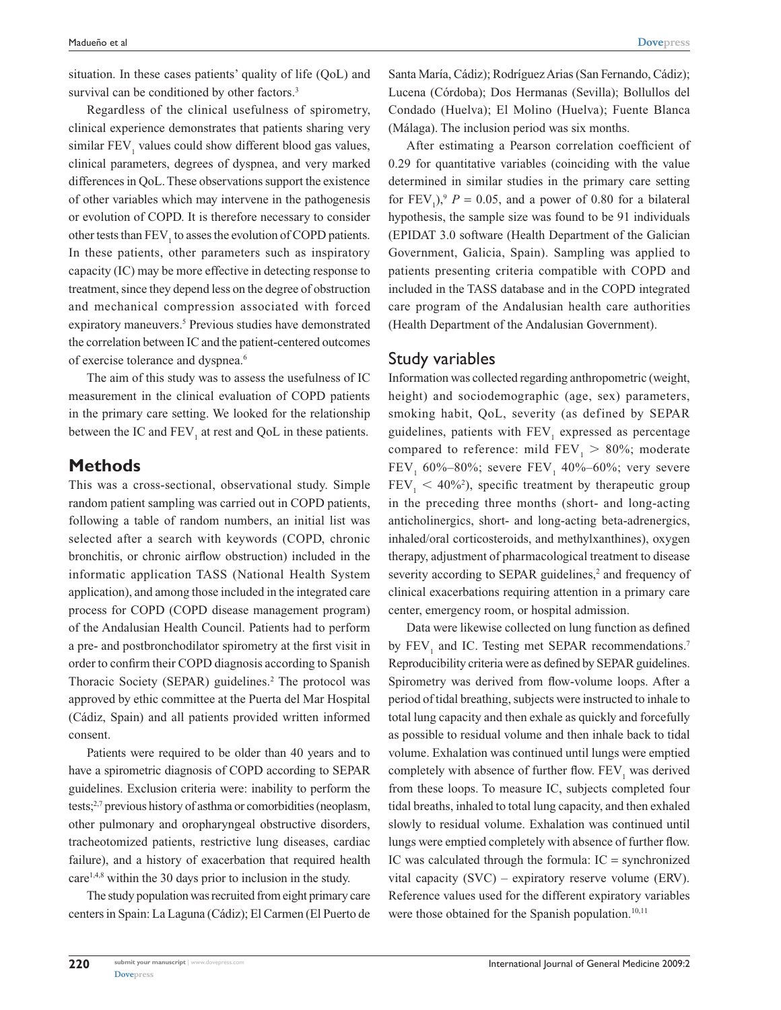situation. In these cases patients' quality of life (QoL) and survival can be conditioned by other factors.<sup>3</sup>

Regardless of the clinical usefulness of spirometry, clinical experience demonstrates that patients sharing very similar  $FEV<sub>1</sub>$  values could show different blood gas values, clinical parameters, degrees of dyspnea, and very marked differences in QoL. These observations support the existence of other variables which may intervene in the pathogenesis or evolution of COPD. It is therefore necessary to consider other tests than  $\text{FEV}_1$  to asses the evolution of COPD patients. In these patients, other parameters such as inspiratory capacity (IC) may be more effective in detecting response to treatment, since they depend less on the degree of obstruction and mechanical compression associated with forced expiratory maneuvers.<sup>5</sup> Previous studies have demonstrated the correlation between IC and the patient-centered outcomes of exercise tolerance and dyspnea.6

The aim of this study was to assess the usefulness of IC measurement in the clinical evaluation of COPD patients in the primary care setting. We looked for the relationship between the IC and  $FEV_1$  at rest and QoL in these patients.

# **Methods**

This was a cross-sectional, observational study. Simple random patient sampling was carried out in COPD patients, following a table of random numbers, an initial list was selected after a search with keywords (COPD, chronic bronchitis, or chronic airflow obstruction) included in the informatic application TASS (National Health System application), and among those included in the integrated care process for COPD (COPD disease management program) of the Andalusian Health Council. Patients had to perform a pre- and postbronchodilator spirometry at the first visit in order to confirm their COPD diagnosis according to Spanish Thoracic Society (SEPAR) guidelines.<sup>2</sup> The protocol was approved by ethic committee at the Puerta del Mar Hospital (Cádiz, Spain) and all patients provided written informed consent.

Patients were required to be older than 40 years and to have a spirometric diagnosis of COPD according to SEPAR guidelines. Exclusion criteria were: inability to perform the tests;2,7 previous history of asthma or comorbidities (neoplasm, other pulmonary and oropharyngeal obstructive disorders, tracheotomized patients, restrictive lung diseases, cardiac failure), and a history of exacerbation that required health  $care<sup>1,4,8</sup>$  within the 30 days prior to inclusion in the study.

The study population was recruited from eight primary care centers in Spain: La Laguna (Cádiz); El Carmen (El Puerto de

Santa María, Cádiz); Rodríguez Arias (San Fernando, Cádiz); Lucena (Córdoba); Dos Hermanas (Sevilla); Bollullos del Condado (Huelva); El Molino (Huelva); Fuente Blanca (Málaga). The inclusion period was six months.

After estimating a Pearson correlation coefficient of 0.29 for quantitative variables (coinciding with the value determined in similar studies in the primary care setting for  $FEV<sub>1</sub>$ ,<sup>9</sup>, *P* = 0.05, and a power of 0.80 for a bilateral hypothesis, the sample size was found to be 91 individuals (EPIDAT 3.0 software (Health Department of the Galician Government, Galicia, Spain). Sampling was applied to patients presenting criteria compatible with COPD and included in the TASS database and in the COPD integrated care program of the Andalusian health care authorities (Health Department of the Andalusian Government).

#### Study variables

Information was collected regarding anthropometric (weight, height) and sociodemographic (age, sex) parameters, smoking habit, QoL, severity (as defined by SEPAR guidelines, patients with  $FEV<sub>1</sub>$  expressed as percentage compared to reference: mild  $FEV<sub>1</sub> > 80\%$ ; moderate  $FEV_1 60\% - 80\%$ ; severe  $FEV_1 40\% - 60\%$ ; very severe  $FEV<sub>1</sub> < 40\%$ <sup>2</sup>), specific treatment by therapeutic group in the preceding three months (short- and long-acting anticholinergics, short- and long-acting beta-adrenergics, inhaled/oral corticosteroids, and methylxanthines), oxygen therapy, adjustment of pharmacological treatment to disease severity according to SEPAR guidelines,<sup>2</sup> and frequency of clinical exacerbations requiring attention in a primary care center, emergency room, or hospital admission.

Data were likewise collected on lung function as defined by  $FEV<sub>1</sub>$  and IC. Testing met SEPAR recommendations.<sup>7</sup> Reproducibility criteria were as defined by SEPAR guidelines. Spirometry was derived from flow-volume loops. After a period of tidal breathing, subjects were instructed to inhale to total lung capacity and then exhale as quickly and forcefully as possible to residual volume and then inhale back to tidal volume. Exhalation was continued until lungs were emptied completely with absence of further flow.  $\rm{FEV_1}$  was derived from these loops. To measure IC, subjects completed four tidal breaths, inhaled to total lung capacity, and then exhaled slowly to residual volume. Exhalation was continued until lungs were emptied completely with absence of further flow. IC was calculated through the formula:  $IC =$  synchronized vital capacity (SVC) – expiratory reserve volume (ERV). Reference values used for the different expiratory variables were those obtained for the Spanish population.<sup>10,11</sup>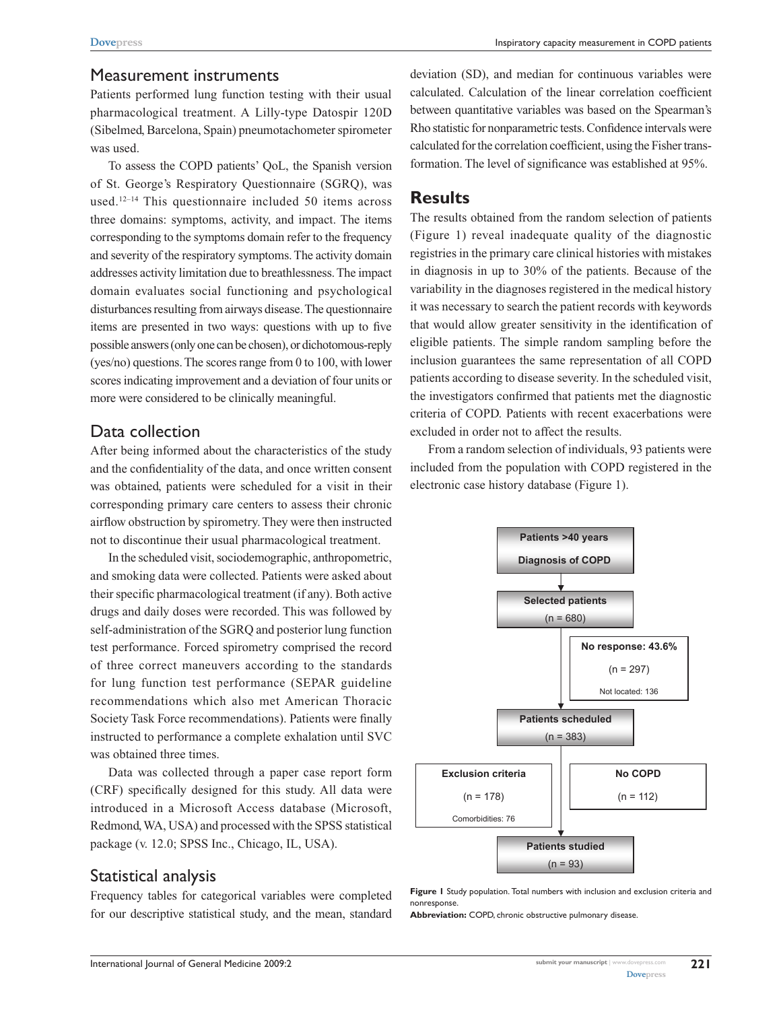#### Measurement instruments

Patients performed lung function testing with their usual pharmacological treatment. A Lilly-type Datospir 120D (Sibelmed, Barcelona, Spain) pneumotachometer spirometer was used.

To assess the COPD patients' QoL, the Spanish version of St. George's Respiratory Questionnaire (SGRQ), was used.<sup>12–14</sup> This questionnaire included 50 items across three domains: symptoms, activity, and impact. The items corresponding to the symptoms domain refer to the frequency and severity of the respiratory symptoms. The activity domain addresses activity limitation due to breathlessness. The impact domain evaluates social functioning and psychological disturbances resulting from airways disease. The questionnaire items are presented in two ways: questions with up to five possible answers (only one can be chosen), or dichotomous-reply (yes/no) questions. The scores range from 0 to 100, with lower scores indicating improvement and a deviation of four units or more were considered to be clinically meaningful.

#### Data collection

After being informed about the characteristics of the study and the confidentiality of the data, and once written consent was obtained, patients were scheduled for a visit in their corresponding primary care centers to assess their chronic airflow obstruction by spirometry. They were then instructed not to discontinue their usual pharmacological treatment.

In the scheduled visit, sociodemographic, anthropometric, and smoking data were collected. Patients were asked about their specific pharmacological treatment (if any). Both active drugs and daily doses were recorded. This was followed by self-administration of the SGRQ and posterior lung function test performance. Forced spirometry comprised the record of three correct maneuvers according to the standards for lung function test performance (SEPAR guideline recommendations which also met American Thoracic Society Task Force recommendations). Patients were finally instructed to performance a complete exhalation until SVC was obtained three times.

Data was collected through a paper case report form (CRF) specifically designed for this study. All data were introduced in a Microsoft Access database (Microsoft, Redmond, WA, USA) and processed with the SPSS statistical package (v. 12.0; SPSS Inc., Chicago, IL, USA).

## Statistical analysis

Frequency tables for categorical variables were completed for our descriptive statistical study, and the mean, standard deviation (SD), and median for continuous variables were calculated. Calculation of the linear correlation coefficient between quantitative variables was based on the Spearman's Rho statistic for nonparametric tests. Confidence intervals were calculated for the correlation coefficient, using the Fisher transformation. The level of significance was established at 95%.

### **Results**

The results obtained from the random selection of patients (Figure 1) reveal inadequate quality of the diagnostic registries in the primary care clinical histories with mistakes in diagnosis in up to 30% of the patients. Because of the variability in the diagnoses registered in the medical history it was necessary to search the patient records with keywords that would allow greater sensitivity in the identification of eligible patients. The simple random sampling before the inclusion guarantees the same representation of all COPD patients according to disease severity. In the scheduled visit, the investigators confirmed that patients met the diagnostic criteria of COPD. Patients with recent exacerbations were excluded in order not to affect the results.

From a random selection of individuals, 93 patients were included from the population with COPD registered in the electronic case history database (Figure 1).



**Figure 1** Study population. Total numbers with inclusion and exclusion criteria and nonresponse. **Abbreviation:** COPD, chronic obstructive pulmonary disease.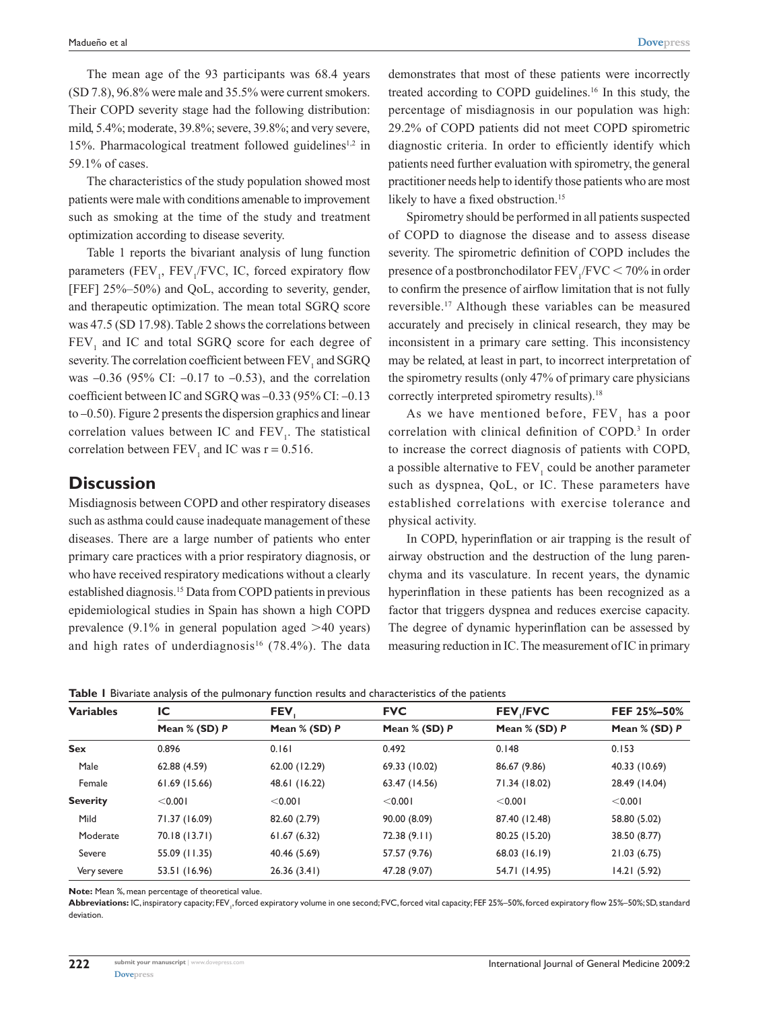The mean age of the 93 participants was 68.4 years (SD 7.8), 96.8% were male and 35.5% were current smokers. Their COPD severity stage had the following distribution: mild, 5.4%; moderate, 39.8%; severe, 39.8%; and very severe, 15%. Pharmacological treatment followed guidelines<sup>1,2</sup> in 59.1% of cases.

The characteristics of the study population showed most patients were male with conditions amenable to improvement such as smoking at the time of the study and treatment optimization according to disease severity.

Table 1 reports the bivariant analysis of lung function parameters  $(FEV_1, FEV_1/FVC, IC, forced expiratory flow)$ [FEF] 25%–50%) and QoL, according to severity, gender, and therapeutic optimization. The mean total SGRQ score was 47.5 (SD 17.98). Table 2 shows the correlations between  $FEV<sub>1</sub>$  and IC and total SGRQ score for each degree of severity. The correlation coefficient between  $\rm FEV_{1}$  and  $\rm SGRQ$ was  $-0.36$  (95% CI:  $-0.17$  to  $-0.53$ ), and the correlation coefficient between IC and SGRQ was -0.33 (95% CI: -0.13 to -0.50). Figure 2 presents the dispersion graphics and linear correlation values between IC and  $FEV<sub>1</sub>$ . The statistical correlation between  $\text{FEV}_1$  and IC was  $r = 0.516$ .

## **Discussion**

Misdiagnosis between COPD and other respiratory diseases such as asthma could cause inadequate management of these diseases. There are a large number of patients who enter primary care practices with a prior respiratory diagnosis, or who have received respiratory medications without a clearly established diagnosis.15 Data from COPD patients in previous epidemiological studies in Spain has shown a high COPD prevalence  $(9.1\%$  in general population aged  $>40$  years) and high rates of underdiagnosis<sup>16</sup> (78.4%). The data

demonstrates that most of these patients were incorrectly treated according to COPD guidelines.16 In this study, the percentage of misdiagnosis in our population was high: 29.2% of COPD patients did not meet COPD spirometric diagnostic criteria. In order to efficiently identify which patients need further evaluation with spirometry, the general practitioner needs help to identify those patients who are most likely to have a fixed obstruction.<sup>15</sup>

Spirometry should be performed in all patients suspected of COPD to diagnose the disease and to assess disease severity. The spirometric definition of COPD includes the presence of a postbronchodilator  $\rm FEV_{1}/FVC$  < 70% in order to confirm the presence of airflow limitation that is not fully reversible.17 Although these variables can be measured accurately and precisely in clinical research, they may be inconsistent in a primary care setting. This inconsistency may be related, at least in part, to incorrect interpretation of the spirometry results (only 47% of primary care physicians correctly interpreted spirometry results).<sup>18</sup>

As we have mentioned before,  $FEV<sub>1</sub>$  has a poor correlation with clinical definition of COPD.3 In order to increase the correct diagnosis of patients with COPD, a possible alternative to  $\text{FEV}_1$  could be another parameter such as dyspnea, QoL, or IC. These parameters have established correlations with exercise tolerance and physical activity.

In COPD, hyperinflation or air trapping is the result of airway obstruction and the destruction of the lung parenchyma and its vasculature. In recent years, the dynamic hyperinflation in these patients has been recognized as a factor that triggers dyspnea and reduces exercise capacity. The degree of dynamic hyperinflation can be assessed by measuring reduction in IC. The measurement of IC in primary

|  |  |  | Table I Bivariate analysis of the pulmonary function results and characteristics of the patients |  |
|--|--|--|--------------------------------------------------------------------------------------------------|--|
|  |  |  |                                                                                                  |  |

| <b>Variables</b> | IC              | <b>FEV</b>      | <b>FVC</b>        | <b>FEV / FVC</b> | FEF 25%-50%     |  |
|------------------|-----------------|-----------------|-------------------|------------------|-----------------|--|
|                  | Mean $%$ (SD) P | Mean $%$ (SD) P | Mean $%$ (SD) $P$ | Mean $%$ (SD) P  | Mean $%$ (SD) P |  |
| <b>Sex</b>       | 0.896           | 0.161           | 0.492             | 0.148            | 0.153           |  |
| Male             | 62.88 (4.59)    | 62.00 (12.29)   | 69.33 (10.02)     | 86.67 (9.86)     | 40.33 (10.69)   |  |
| Female           | 61.69(15.66)    | 48.61 (16.22)   | 63.47 (14.56)     | 71.34 (18.02)    | 28.49 (14.04)   |  |
| <b>Severity</b>  | < 0.001         | < 0.001         | < 0.001           | < 0.001          | < 0.001         |  |
| Mild             | 71.37 (16.09)   | 82.60 (2.79)    | 90.00 (8.09)      | 87.40 (12.48)    | 58.80 (5.02)    |  |
| Moderate         | 70.18 (13.71)   | 61.67(6.32)     | 72.38(9.11)       | 80.25 (15.20)    | 38.50 (8.77)    |  |
| Severe           | 55.09 (11.35)   | 40.46 (5.69)    | 57.57 (9.76)      | 68.03 (16.19)    | 21.03(6.75)     |  |
| Very severe      | 53.51 (16.96)   | 26.36(3.41)     | 47.28 (9.07)      | 54.71 (14.95)    | 14.21(5.92)     |  |

**Note:** Mean %, mean percentage of theoretical value.

 ${\sf Abbreviations:}$  IC, inspiratory capacity; FEV<sub>,</sub>, forced expiratory volume in one second; FVC, forced vital capacity; FEF 25%–50%, forced expiratory flow 25%–50%; SD, standard deviation.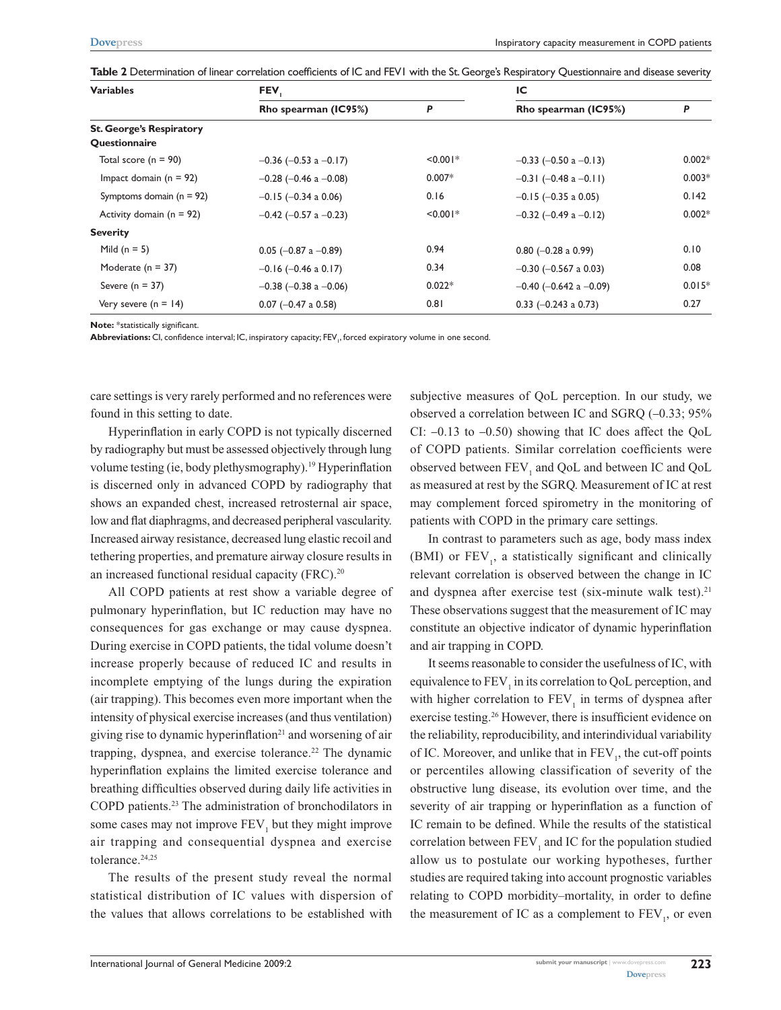| Table 2 Determination of linear correlation coefficients of IC and FEVI with the St. George's Respiratory Questionnaire and disease severity |  |  |  |
|----------------------------------------------------------------------------------------------------------------------------------------------|--|--|--|
|----------------------------------------------------------------------------------------------------------------------------------------------|--|--|--|

| <b>Variables</b>                | FEV,                          |            | IC                             |          |  |
|---------------------------------|-------------------------------|------------|--------------------------------|----------|--|
|                                 | Rho spearman (IC95%)          | P          | Rho spearman (IC95%)           | P        |  |
| <b>St. George's Respiratory</b> |                               |            |                                |          |  |
| Questionnaire                   |                               |            |                                |          |  |
| Total score ( $n = 90$ )        | $-0.36$ ( $-0.53$ a $-0.17$ ) | $< 0.001*$ | $-0.33$ ( $-0.50$ a $-0.13$ )  | $0.002*$ |  |
| Impact domain ( $n = 92$ )      | $-0.28$ (-0.46 a -0.08)       | $0.007*$   | $-0.31$ (-0.48 a -0.11)        | $0.003*$ |  |
| Symptoms domain ( $n = 92$ )    | $-0.15$ ( $-0.34$ a 0.06)     | 0.16       | $-0.15$ ( $-0.35$ a 0.05)      | 0.142    |  |
| Activity domain ( $n = 92$ )    | $-0.42$ ( $-0.57$ a $-0.23$ ) | $< 0.001*$ | $-0.32$ ( $-0.49$ a $-0.12$ )  | $0.002*$ |  |
| <b>Severity</b>                 |                               |            |                                |          |  |
| Mild $(n = 5)$                  | $0.05$ (-0.87 a -0.89)        | 0.94       | $0.80$ (-0.28 a 0.99)          | 0.10     |  |
| Moderate ( $n = 37$ )           | $-0.16$ ( $-0.46$ a 0.17)     | 0.34       | $-0.30$ ( $-0.567$ a 0.03)     | 0.08     |  |
| Severe $(n = 37)$               | $-0.38$ ( $-0.38$ a $-0.06$ ) | $0.022*$   | $-0.40$ ( $-0.642$ a $-0.09$ ) | $0.015*$ |  |
| Very severe $(n = 14)$          | $0.07$ (-0.47 a 0.58)         | 0.81       | $0.33$ (-0.243 a 0.73)         | 0.27     |  |

**Note:** \*statistically significant.

**Abbreviations:** CI, confidence interval; IC, inspiratory capacity; FEV<sub>1</sub>, forced expiratory volume in one second.

care settings is very rarely performed and no references were found in this setting to date.

Hyperinflation in early COPD is not typically discerned by radiography but must be assessed objectively through lung volume testing (ie, body plethysmography).<sup>19</sup> Hyperinflation is discerned only in advanced COPD by radiography that shows an expanded chest, increased retrosternal air space, low and flat diaphragms, and decreased peripheral vascularity. Increased airway resistance, decreased lung elastic recoil and tethering properties, and premature airway closure results in an increased functional residual capacity (FRC).<sup>20</sup>

All COPD patients at rest show a variable degree of pulmonary hyperinflation, but IC reduction may have no consequences for gas exchange or may cause dyspnea. During exercise in COPD patients, the tidal volume doesn't increase properly because of reduced IC and results in incomplete emptying of the lungs during the expiration (air trapping). This becomes even more important when the intensity of physical exercise increases (and thus ventilation) giving rise to dynamic hyperinflation<sup>21</sup> and worsening of air trapping, dyspnea, and exercise tolerance.<sup>22</sup> The dynamic hyperinflation explains the limited exercise tolerance and breathing difficulties observed during daily life activities in COPD patients.23 The administration of bronchodilators in some cases may not improve  $FEV<sub>1</sub>$  but they might improve air trapping and consequential dyspnea and exercise tolerance.<sup>24,25</sup>

The results of the present study reveal the normal statistical distribution of IC values with dispersion of the values that allows correlations to be established with subjective measures of QoL perception. In our study, we observed a correlation between IC and SGRQ (-0.33; 95% CI:  $-0.13$  to  $-0.50$ ) showing that IC does affect the QoL of COPD patients. Similar correlation coefficients were observed between  $\text{FEV}_1$  and QoL and between IC and QoL as measured at rest by the SGRQ. Measurement of IC at rest may complement forced spirometry in the monitoring of patients with COPD in the primary care settings.

In contrast to parameters such as age, body mass index (BMI) or  $FEV<sub>1</sub>$ , a statistically significant and clinically relevant correlation is observed between the change in IC and dyspnea after exercise test (six-minute walk test).<sup>21</sup> These observations suggest that the measurement of IC may constitute an objective indicator of dynamic hyperinflation and air trapping in COPD.

It seems reasonable to consider the usefulness of IC, with equivalence to  $\text{FEV}_1$  in its correlation to QoL perception, and with higher correlation to  $FEV<sub>1</sub>$  in terms of dyspnea after exercise testing.26 However, there is insufficient evidence on the reliability, reproducibility, and interindividual variability of IC. Moreover, and unlike that in  $\text{FEV}_1$ , the cut-off points or percentiles allowing classification of severity of the obstructive lung disease, its evolution over time, and the severity of air trapping or hyperinflation as a function of IC remain to be defined. While the results of the statistical correlation between  $\text{FEV}_1$  and IC for the population studied allow us to postulate our working hypotheses, further studies are required taking into account prognostic variables relating to COPD morbidity–mortality, in order to define the measurement of IC as a complement to  $\text{FEV}_1$ , or even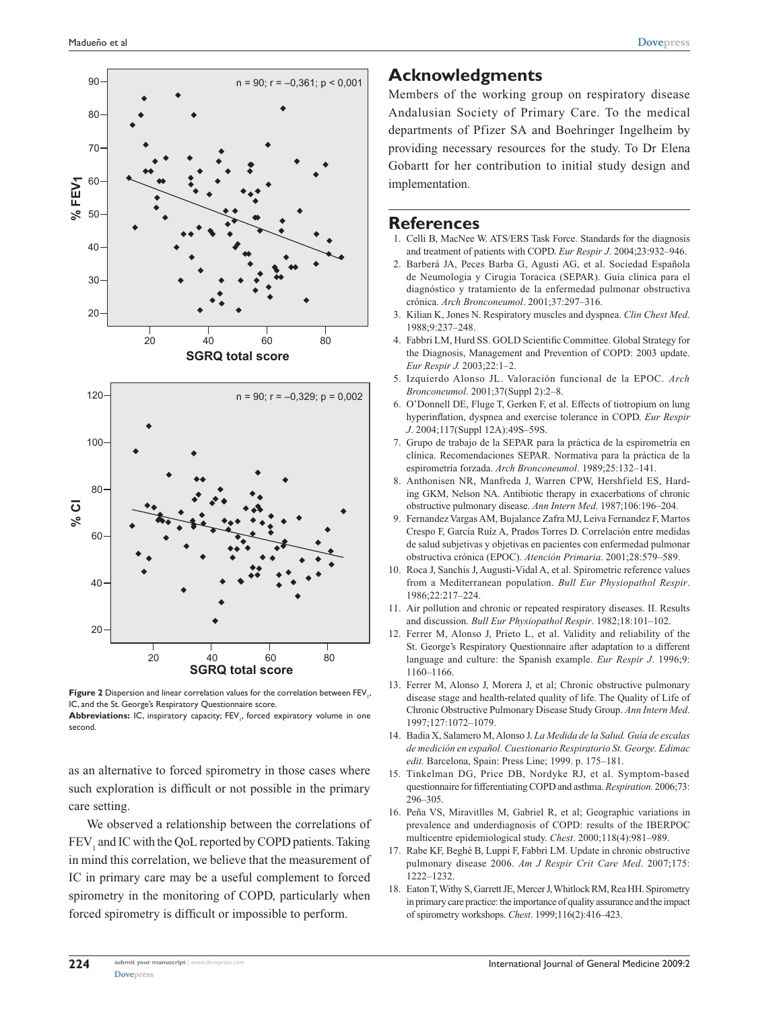

**Figure 2** Dispersion and linear correlation values for the correlation between FEV<sub>1</sub>, IC, and the St. George's Respiratory Questionnaire score. **Abbreviations:** IC, inspiratory capacity; FEV<sub>1</sub>, forced expiratory volume in one second.

as an alternative to forced spirometry in those cases where such exploration is difficult or not possible in the primary care setting.

We observed a relationship between the correlations of FEV<sub>1</sub> and IC with the QoL reported by COPD patients. Taking in mind this correlation, we believe that the measurement of IC in primary care may be a useful complement to forced spirometry in the monitoring of COPD, particularly when forced spirometry is difficult or impossible to perform.

#### **Acknowledgments**

Members of the working group on respiratory disease Andalusian Society of Primary Care. To the medical departments of Pfizer SA and Boehringer Ingelheim by providing necessary resources for the study. To Dr Elena Gobartt for her contribution to initial study design and implementation.

#### **References**

- 1. Celli B, MacNee W. ATS/ERS Task Force. Standards for the diagnosis and treatment of patients with COPD. *Eur Respir J*. 2004;23:932–946.
- 2. Barberá JA, Peces Barba G, Agusti AG, et al. Sociedad Española de Neumologia y Cirugia Toracica (SEPAR). Guía clínica para el diagnóstico y tratamiento de la enfermedad pulmonar obstructiva crónica. *Arch Bronconeumol*. 2001;37:297–316.
- 3. Kilian K, Jones N. Respiratory muscles and dyspnea. *Clin Chest Med*. 1988;9:237–248.
- 4. Fabbri LM, Hurd SS. GOLD Scientific Committee. Global Strategy for the Diagnosis, Management and Prevention of COPD: 2003 update. *Eur Respir J.* 2003;22:1–2.
- 5. Izquierdo Alonso JL. Valoración funcional de la EPOC. *Arch Bronconeumol*. 2001;37(Suppl 2):2–8.
- 6. O'Donnell DE, Fluge T, Gerken F, et al. Effects of tiotropium on lung hyperinflation, dyspnea and exercise tolerance in COPD. *Eur Respir J*. 2004;117(Suppl 12A):49S–59S.
- 7. Grupo de trabajo de la SEPAR para la práctica de la espirometría en clínica. Recomendaciones SEPAR. Normativa para la práctica de la espirometría forzada. *Arch Bronconeumol*. 1989;25:132–141.
- 8. Anthonisen NR, Manfreda J, Warren CPW, Hershfield ES, Harding GKM, Nelson NA. Antibiotic therapy in exacerbations of chronic obstructive pulmonary disease. *Ann Intern Med*. 1987;106:196–204.
- 9. Fernandez Vargas AM, Bujalance Zafra MJ, Leiva Fernandez F, Martos Crespo F, García Ruíz A, Prados Torres D. Correlación entre medidas de salud subjetivas y objetivas en pacientes con enfermedad pulmonar obstructiva crónica (EPOC). *Atención Primaria*. 2001;28:579–589.
- 10. Roca J, Sanchis J, Augusti-Vidal A, et al. Spirometric reference values from a Mediterranean population. *Bull Eur Physiopathol Respir*. 1986;22:217–224.
- 11. Air pollution and chronic or repeated respiratory diseases. II. Results and discussion. *Bull Eur Physiopathol Respir*. 1982;18:101–102.
- 12. Ferrer M, Alonso J, Prieto L, et al. Validity and reliability of the St. George's Respiratory Questionnaire after adaptation to a different language and culture: the Spanish example. *Eur Respir J*. 1996;9: 1160–1166.
- 13. Ferrer M, Alonso J, Morera J, et al; Chronic obstructive pulmonary disease stage and health-related quality of life. The Quality of Life of Chronic Obstructive Pulmonary Disease Study Group. *Ann Intern Med*. 1997;127:1072–1079.
- 14. Badia X, Salamero M, Alonso J. *La Medida de la Salud. Guía de escalas de medición en español. Cuestionario Respiratorio St. George. Edimac edit.* Barcelona, Spain: Press Line; 1999. p. 175–181.
- 15. Tinkelman DG, Price DB, Nordyke RJ, et al. Symptom-based questionnaire for fifferentiating COPD and asthma. *Respiration.* 2006;73: 296–305.
- 16. Peña VS, Miravitlles M, Gabriel R, et al; Geographic variations in prevalence and underdiagnosis of COPD: results of the IBERPOC multicentre epidemiological study. *Chest*. 2000;118(4):981–989.
- 17. Rabe KF, Beghé B, Luppi F, Fabbri LM. Update in chronic obstructive pulmonary disease 2006. *Am J Respir Crit Care Med*. 2007;175: 1222–1232.
- 18. Eaton T, Withy S, Garrett JE, Mercer J, Whitlock RM, Rea HH. Spirometry in primary care practice: the importance of quality assurance and the impact of spirometry workshops. *Chest*. 1999;116(2):416–423.